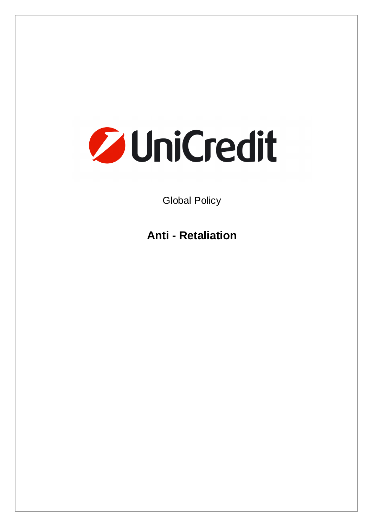# **Z** UniCredit

Global Policy

**Anti - Retaliation**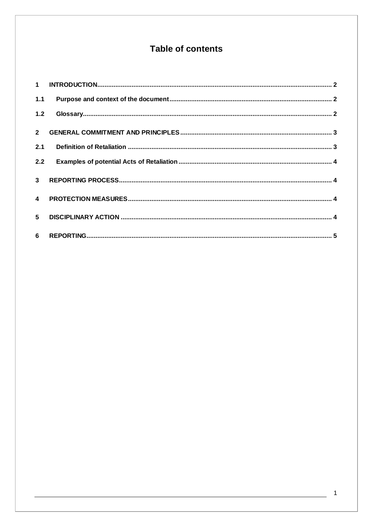# Table of contents

| $1.1$          |  |
|----------------|--|
| 1.2            |  |
|                |  |
| 2.1            |  |
| 2.2            |  |
| 3 <sup>1</sup> |  |
|                |  |
| 5 <sup>5</sup> |  |
|                |  |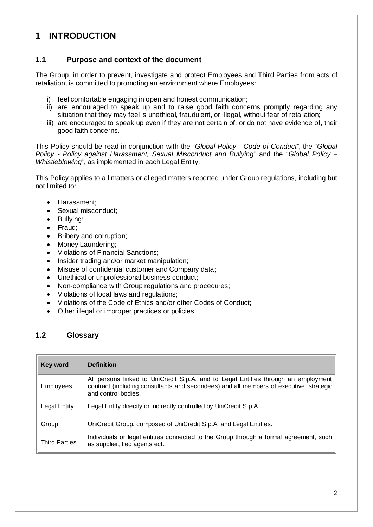# **1 INTRODUCTION**

### **1.1 Purpose and context of the document**

The Group, in order to prevent, investigate and protect Employees and Third Parties from acts of retaliation, is committed to promoting an environment where Employees:

- i) feel comfortable engaging in open and honest communication;
- ii) are encouraged to speak up and to raise good faith concerns promptly regarding any situation that they may feel is unethical, fraudulent, or illegal, without fear of retaliation;
- iii) are encouraged to speak up even if they are not certain of, or do not have evidence of, their good faith concerns.

This Policy should be read in conjunction with the "*Global Policy - Code of Conduct"*, the "*Global Policy - Policy against Harassment, Sexual Misconduct and Bullying"* and the "*Global Policy – Whistleblowing"*, as implemented in each Legal Entity.

This Policy applies to all matters or alleged matters reported under Group regulations, including but not limited to:

- Harassment;
- Sexual misconduct:
- Bullying;
- Fraud;
- Bribery and corruption;
- Money Laundering;
- Violations of Financial Sanctions;
- Insider trading and/or market manipulation;
- Misuse of confidential customer and Company data;
- Unethical or unprofessional business conduct;
- Non-compliance with Group regulations and procedures;
- Violations of local laws and regulations;
- Violations of the Code of Ethics and/or other Codes of Conduct;
- Other illegal or improper practices or policies.

### **1.2 Glossary**

| Key word             | <b>Definition</b>                                                                                                                                                                                   |
|----------------------|-----------------------------------------------------------------------------------------------------------------------------------------------------------------------------------------------------|
| <b>Employees</b>     | All persons linked to UniCredit S.p.A. and to Legal Entities through an employment<br>contract (including consultants and secondees) and all members of executive, strategic<br>and control bodies. |
| Legal Entity         | Legal Entity directly or indirectly controlled by UniCredit S.p.A.                                                                                                                                  |
| Group                | UniCredit Group, composed of UniCredit S.p.A. and Legal Entities.                                                                                                                                   |
| <b>Third Parties</b> | Individuals or legal entities connected to the Group through a formal agreement, such<br>as supplier, tied agents ect                                                                               |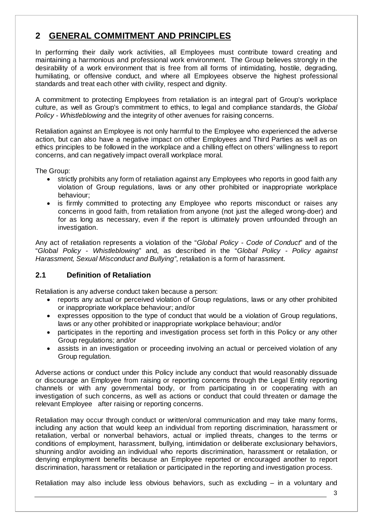# **2 GENERAL COMMITMENT AND PRINCIPLES**

In performing their daily work activities, all Employees must contribute toward creating and maintaining a harmonious and professional work environment. The Group believes strongly in the desirability of a work environment that is free from all forms of intimidating, hostile, degrading, humiliating, or offensive conduct, and where all Employees observe the highest professional standards and treat each other with civility, respect and dignity.

A commitment to protecting Employees from retaliation is an integral part of Group's workplace culture, as well as Group's commitment to ethics, to legal and compliance standards, the *Global Policy - Whistleblowing* and the integrity of other avenues for raising concerns.

Retaliation against an Employee is not only harmful to the Employee who experienced the adverse action, but can also have a negative impact on other Employees and Third Parties as well as on ethics principles to be followed in the workplace and a chilling effect on others' willingness to report concerns, and can negatively impact overall workplace moral.

The Group:

- strictly prohibits any form of retaliation against any Employees who reports in good faith any violation of Group regulations, laws or any other prohibited or inappropriate workplace behaviour;
- is firmly committed to protecting any Employee who reports misconduct or raises any concerns in good faith, from retaliation from anyone (not just the alleged wrong-doer) and for as long as necessary, even if the report is ultimately proven unfounded through an investigation.

Any act of retaliation represents a violation of the "*Global Policy - Code of Conduct*" and of the "*Global Policy - Whistleblowing*" and, as described in the "*Global Policy - Policy against Harassment, Sexual Misconduct and Bullying"*, retaliation is a form of harassment.

## **2.1 Definition of Retaliation**

Retaliation is any adverse conduct taken because a person:

- reports any actual or perceived violation of Group regulations, laws or any other prohibited or inappropriate workplace behaviour; and/or
- expresses opposition to the type of conduct that would be a violation of Group regulations, laws or any other prohibited or inappropriate workplace behaviour; and/or
- participates in the reporting and investigation process set forth in this Policy or any other Group regulations; and/or
- assists in an investigation or proceeding involving an actual or perceived violation of any Group regulation.

Adverse actions or conduct under this Policy include any conduct that would reasonably dissuade or discourage an Employee from raising or reporting concerns through the Legal Entity reporting channels or with any governmental body, or from participating in or cooperating with an investigation of such concerns, as well as actions or conduct that could threaten or damage the relevant Employee after raising or reporting concerns.

Retaliation may occur through conduct or written/oral communication and may take many forms, including any action that would keep an individual from reporting discrimination, harassment or retaliation, verbal or nonverbal behaviors, actual or implied threats, changes to the terms or conditions of employment, harassment, bullying, intimidation or deliberate exclusionary behaviors, shunning and/or avoiding an individual who reports discrimination, harassment or retaliation, or denying employment benefits because an Employee reported or encouraged another to report discrimination, harassment or retaliation or participated in the reporting and investigation process.

Retaliation may also include less obvious behaviors, such as excluding – in a voluntary and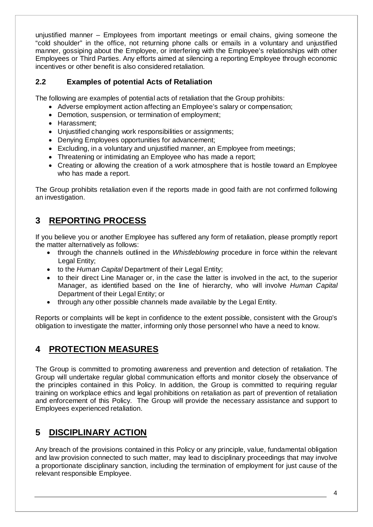unjustified manner – Employees from important meetings or email chains, giving someone the "cold shoulder" in the office, not returning phone calls or emails in a voluntary and unjustified manner, gossiping about the Employee, or interfering with the Employee's relationships with other Employees or Third Parties. Any efforts aimed at silencing a reporting Employee through economic incentives or other benefit is also considered retaliation.

## **2.2 Examples of potential Acts of Retaliation**

The following are examples of potential acts of retaliation that the Group prohibits:

- Adverse employment action affecting an Employee's salary or compensation;
- Demotion, suspension, or termination of employment;
- Harassment;
- Unjustified changing work responsibilities or assignments;
- Denying Employees opportunities for advancement;
- Excluding, in a voluntary and uniustified manner, an Employee from meetings:
- Threatening or intimidating an Employee who has made a report:
- Creating or allowing the creation of a work atmosphere that is hostile toward an Employee who has made a report.

The Group prohibits retaliation even if the reports made in good faith are not confirmed following an investigation.

# **3 REPORTING PROCESS**

If you believe you or another Employee has suffered any form of retaliation, please promptly report the matter alternatively as follows:

- through the channels outlined in the *Whistleblowing* procedure in force within the relevant Legal Entity:
- to the *Human Capital* Department of their Legal Entity;
- to their direct Line Manager or, in the case the latter is involved in the act, to the superior Manager, as identified based on the line of hierarchy, who will involve *Human Capital* Department of their Legal Entity; or
- through any other possible channels made available by the Legal Entity.

Reports or complaints will be kept in confidence to the extent possible, consistent with the Group's obligation to investigate the matter, informing only those personnel who have a need to know.

# **4 PROTECTION MEASURES**

The Group is committed to promoting awareness and prevention and detection of retaliation. The Group will undertake regular global communication efforts and monitor closely the observance of the principles contained in this Policy. In addition, the Group is committed to requiring regular training on workplace ethics and legal prohibitions on retaliation as part of prevention of retaliation and enforcement of this Policy. The Group will provide the necessary assistance and support to Employees experienced retaliation.

# **5 DISCIPLINARY ACTION**

Any breach of the provisions contained in this Policy or any principle, value, fundamental obligation and law provision connected to such matter, may lead to disciplinary proceedings that may involve a proportionate disciplinary sanction, including the termination of employment for just cause of the relevant responsible Employee.